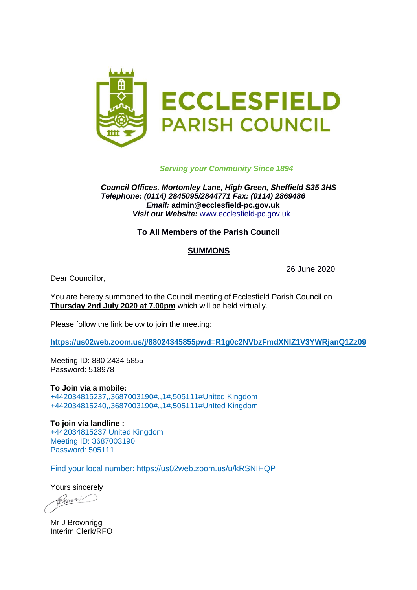

# *Serving your Community Since 1894*

*Council Offices, Mortomley Lane, High Green, Sheffield S35 3HS Telephone: (0114) 2845095/2844771 Fax: (0114) 2869486 Email:* **admin@ecclesfield-pc.gov.uk** *Visit our Website:* [www.ecclesfield-pc.gov.uk](http://www.ecclesfield-pc.gov.uk/) 

## **To All Members of the Parish Council**

## **SUMMONS**

26 June 2020

Dear Councillor,

You are hereby summoned to the Council meeting of Ecclesfield Parish Council on **Thursday 2nd July 2020 at 7.00pm** which will be held virtually.

Please follow the link below to join the meeting:

**[https://us02web.zoom.us/j/88024345855pwd=R1g0c2NVbzFmdXNlZ1V3YWRjanQ1Zz09](https://us02web.zoom.us/j/88024345855?pwd=R1g0c2NVbzFmdXNlZ1V3YWRjanQ1Zz09)**

Meeting ID: 880 2434 5855 Password: 518978

**To Join via a mobile:**  +442034815237,,3687003190#,,1#,505111#United Kingdom +442034815240,,3687003190#,,1#,505111#UnIted Kingdom

**To join via landline :**  +442034815237 United Kingdom Meeting ID: 3687003190 Password: 505111

Find your local number: https://us02web.zoom.us/u/kRSNIHQP

Yours sincerely

Beenmi

Mr J Brownrigg Interim Clerk/RFO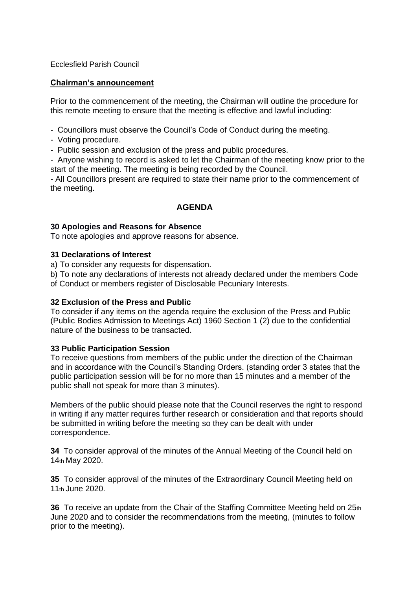## Ecclesfield Parish Council

## **Chairman's announcement**

Prior to the commencement of the meeting, the Chairman will outline the procedure for this remote meeting to ensure that the meeting is effective and lawful including:

- Councillors must observe the Council's Code of Conduct during the meeting.
- Voting procedure.
- Public session and exclusion of the press and public procedures.

- Anyone wishing to record is asked to let the Chairman of the meeting know prior to the start of the meeting. The meeting is being recorded by the Council.

- All Councillors present are required to state their name prior to the commencement of the meeting.

# **AGENDA**

## **30 Apologies and Reasons for Absence**

To note apologies and approve reasons for absence.

#### **31 Declarations of Interest**

a) To consider any requests for dispensation.

b) To note any declarations of interests not already declared under the members Code of Conduct or members register of Disclosable Pecuniary Interests.

## **32 Exclusion of the Press and Public**

To consider if any items on the agenda require the exclusion of the Press and Public (Public Bodies Admission to Meetings Act) 1960 Section 1 (2) due to the confidential nature of the business to be transacted.

## **33 Public Participation Session**

To receive questions from members of the public under the direction of the Chairman and in accordance with the Council's Standing Orders. (standing order 3 states that the public participation session will be for no more than 15 minutes and a member of the public shall not speak for more than 3 minutes).

Members of the public should please note that the Council reserves the right to respond in writing if any matter requires further research or consideration and that reports should be submitted in writing before the meeting so they can be dealt with under correspondence.

**34** To consider approval of the minutes of the Annual Meeting of the Council held on 14th May 2020.

**35** To consider approval of the minutes of the Extraordinary Council Meeting held on 11th June 2020.

**36** To receive an update from the Chair of the Staffing Committee Meeting held on 25th June 2020 and to consider the recommendations from the meeting, (minutes to follow prior to the meeting).